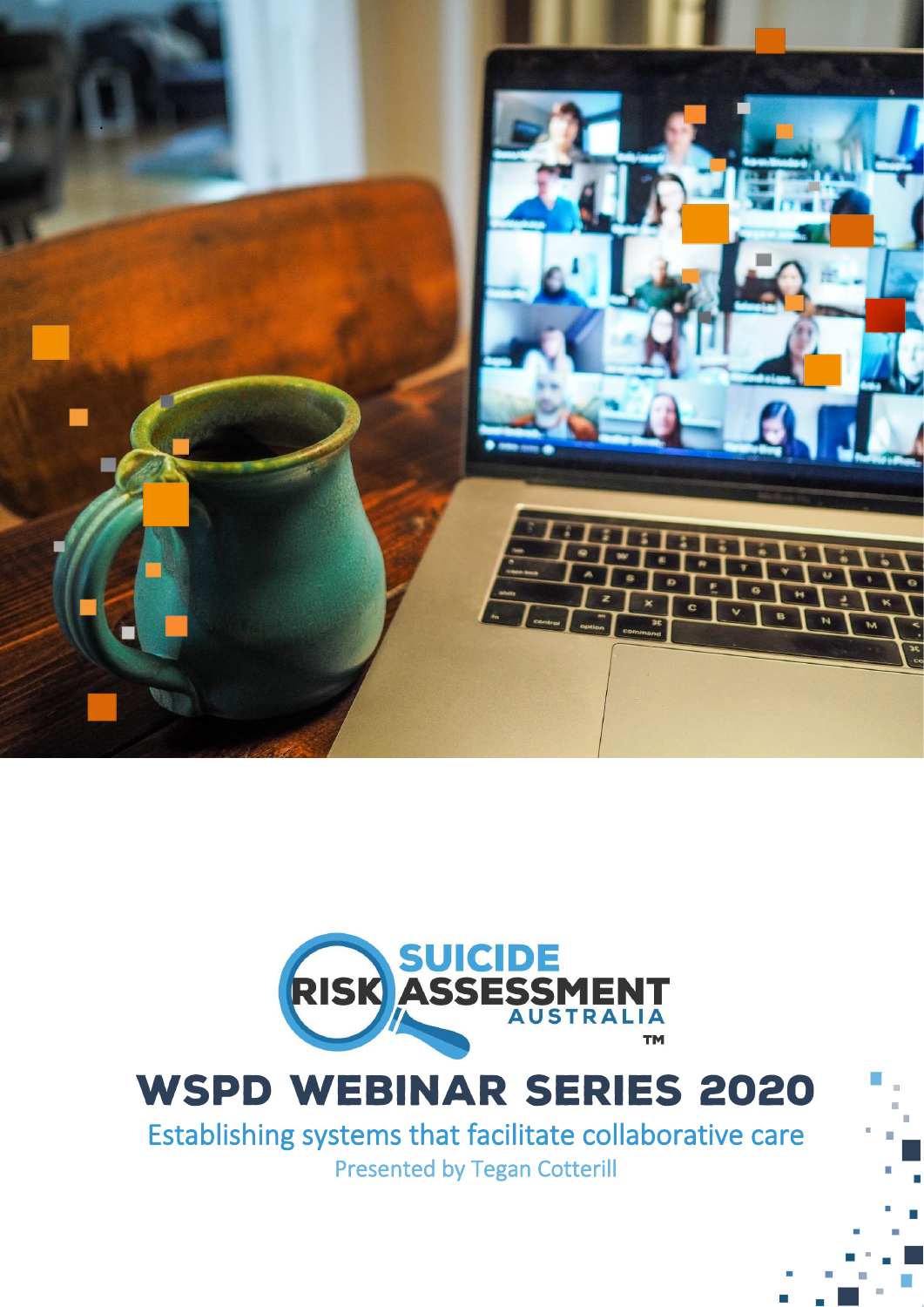



# **WSPD WEBINAR SERIES 2020**

Establishing systems that facilitate collaborative care Presented by Tegan Cotterill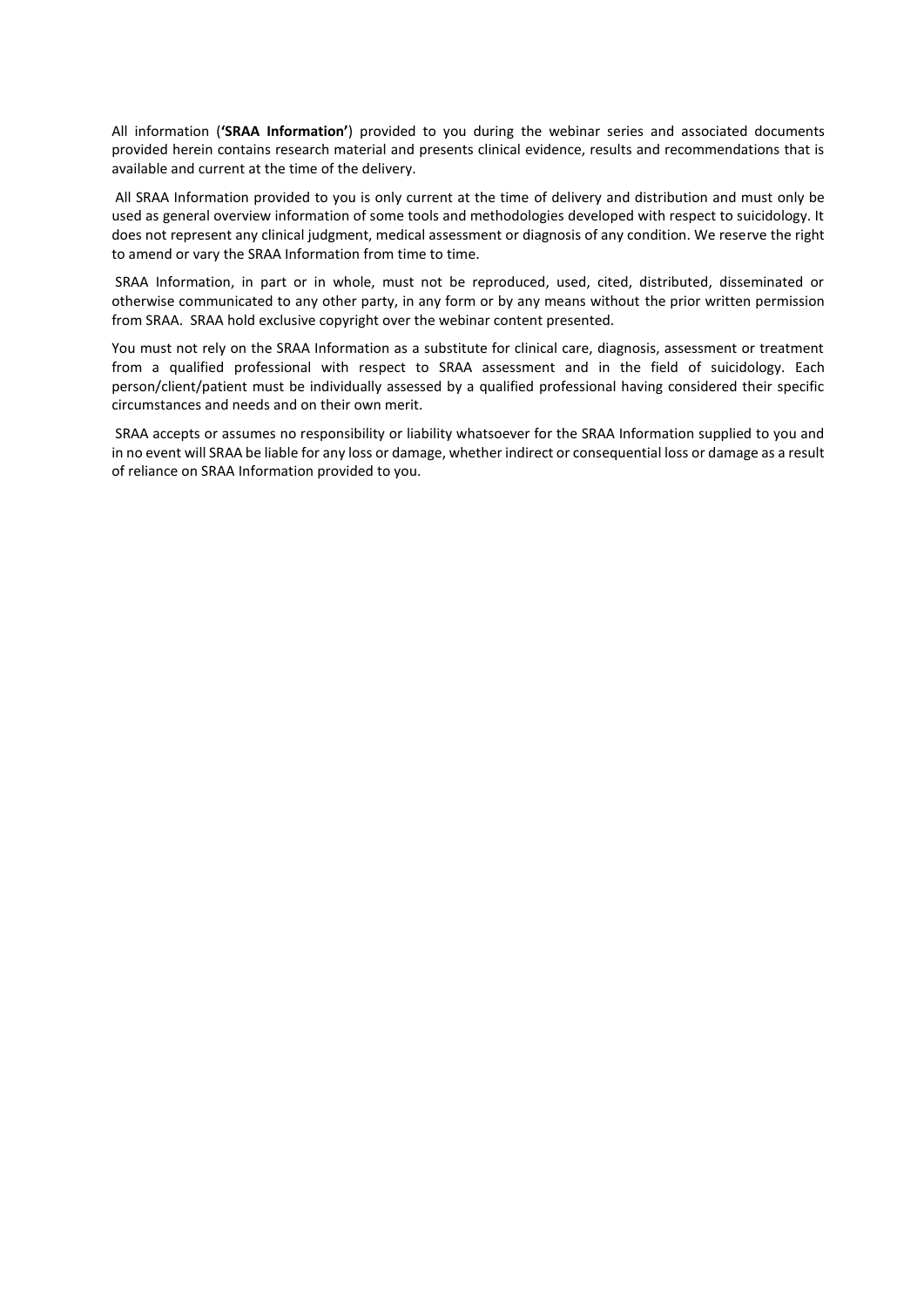All information (**'SRAA Information'**) provided to you during the webinar series and associated documents provided herein contains research material and presents clinical evidence, results and recommendations that is available and current at the time of the delivery.

All SRAA Information provided to you is only current at the time of delivery and distribution and must only be used as general overview information of some tools and methodologies developed with respect to suicidology. It does not represent any clinical judgment, medical assessment or diagnosis of any condition. We reserve the right to amend or vary the SRAA Information from time to time.

SRAA Information, in part or in whole, must not be reproduced, used, cited, distributed, disseminated or otherwise communicated to any other party, in any form or by any means without the prior written permission from SRAA. SRAA hold exclusive copyright over the webinar content presented.

You must not rely on the SRAA Information as a substitute for clinical care, diagnosis, assessment or treatment from a qualified professional with respect to SRAA assessment and in the field of suicidology. Each person/client/patient must be individually assessed by a qualified professional having considered their specific circumstances and needs and on their own merit.

SRAA accepts or assumes no responsibility or liability whatsoever for the SRAA Information supplied to you and in no event will SRAA be liable for any loss or damage, whether indirect or consequential loss or damage as a result of reliance on SRAA Information provided to you.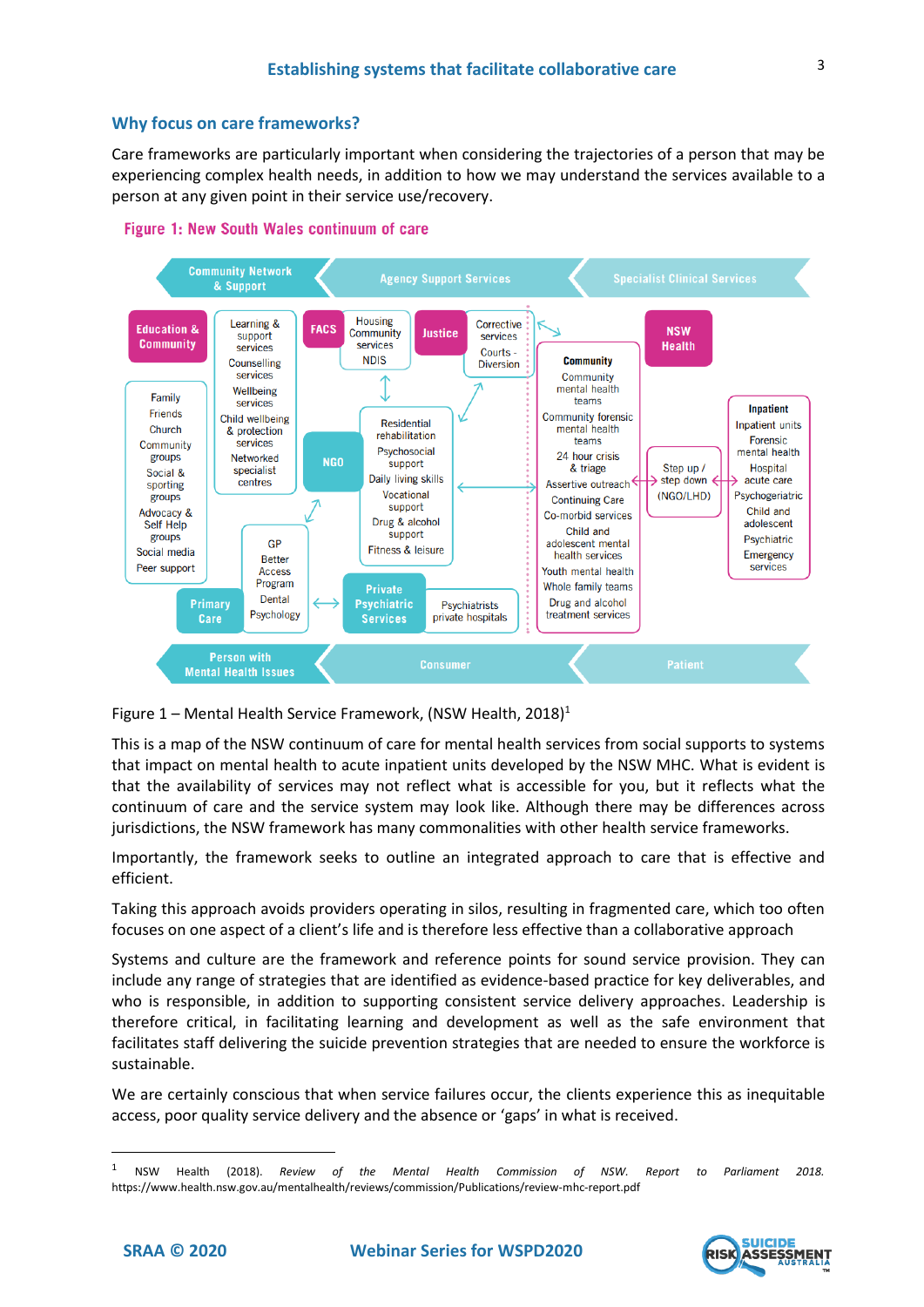# **Why focus on care frameworks?**

Care frameworks are particularly important when considering the trajectories of a person that may be experiencing complex health needs, in addition to how we may understand the services available to a person at any given point in their service use/recovery.





Figure 1 – Mental Health Service Framework, (NSW Health, 2018)<sup>1</sup>

[This is a map of the NSW continuum of care for mental health services from social supports to systems](https://www.health.nsw.gov.au/mentalhealth/reviews/commission/Publications/review-mhc-report.pdf)  that impact [on mental health to acute inpatient units developed by the NSW MHC.](https://www.health.nsw.gov.au/mentalhealth/reviews/commission/Publications/review-mhc-report.pdf) What is evident is that the availability of services may not reflect what is accessible for you, but it reflects what the continuum of care and the service system may look like. Although there may be differences across jurisdictions, the NSW framework has many commonalities with other health service frameworks.

Importantly, the framework seeks to outline an integrated approach to care that is effective and efficient.

[Taking this approach avoids providers operating in silos, resulting in fragmented care, which too often](https://www.health.nsw.gov.au/mentalhealth/reviews/commission/Publications/review-mhc-report.pdf)  [focuses on one aspect of a](https://www.health.nsw.gov.au/mentalhealth/reviews/commission/Publications/review-mhc-report.pdf) [client's](https://www.health.nsw.gov.au/mentalhealth/reviews/commission/Publications/review-mhc-report.pdf) [life and is therefore less effective than a collaborative approach](https://www.health.nsw.gov.au/mentalhealth/reviews/commission/Publications/review-mhc-report.pdf)

Systems and culture are the framework and reference points for sound service provision. They can include any range of strategies that are identified as evidence-based practice for key deliverables, and who is responsible, in addition to supporting consistent service delivery approaches. Leadership is therefore critical, in facilitating learning and development as well as the safe environment that facilitates staff delivering the suicide prevention strategies that are needed to ensure the workforce is sustainable.

We are certainly conscious that when service failures occur, the clients experience this as inequitable access, poor quality service delivery and the absence or 'gaps' in what is received.



<sup>1</sup> NSW Health (2018). *Review of the Mental Health Commission of NSW. Report to Parliament 2018.* https://www.health.nsw.gov.au/mentalhealth/reviews/commission/Publications/review-mhc-report.pdf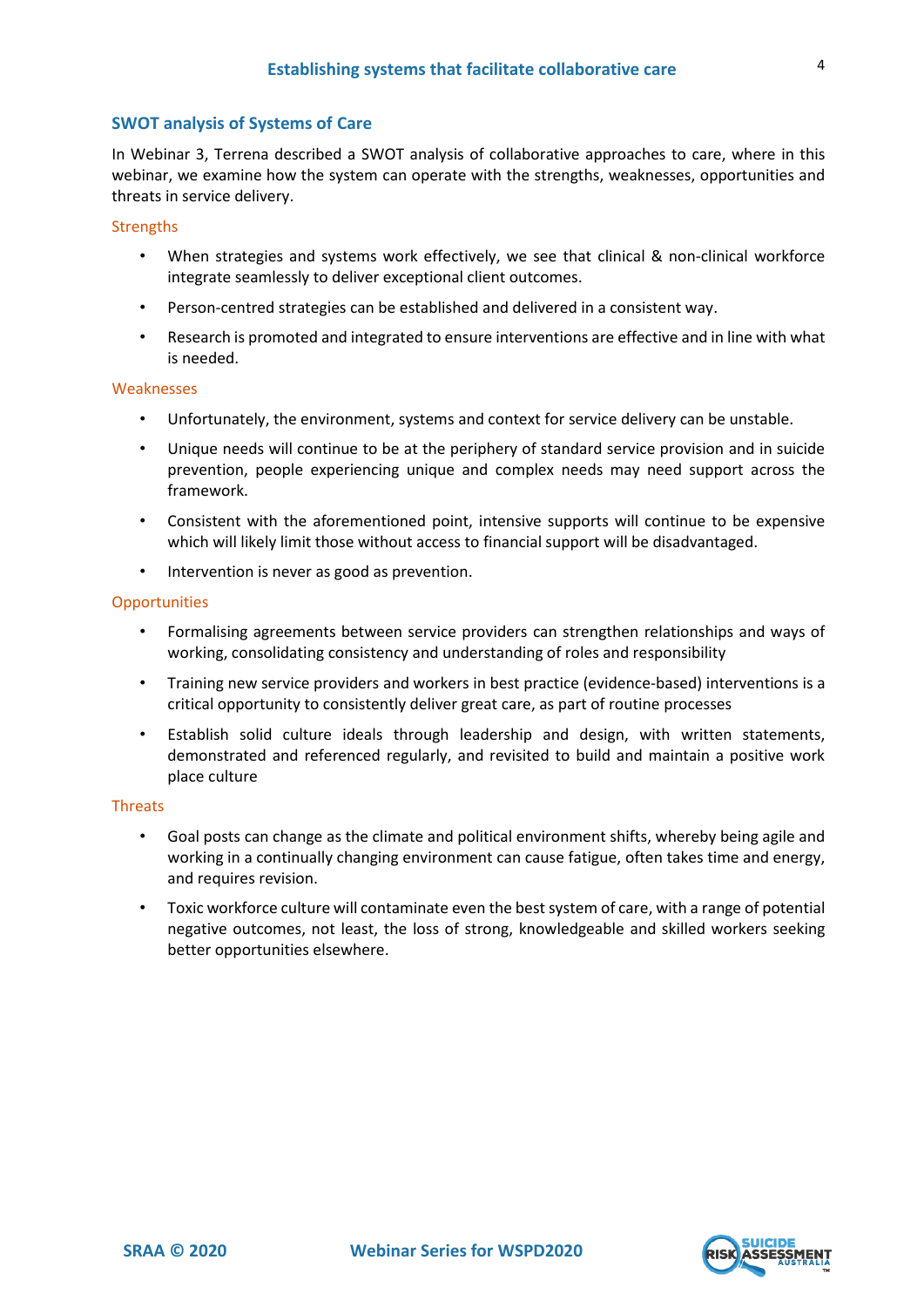# **SWOT analysis of Systems of Care**

In Webinar 3, Terrena described a SWOT analysis of collaborative approaches to care, where in this webinar, we examine how the system can operate with the strengths, weaknesses, opportunities and threats in service delivery.

#### **Strengths**

- When strategies and systems work effectively, we see that clinical & non-clinical workforce integrate seamlessly to deliver exceptional client outcomes.
- Person-centred strategies can be established and delivered in a consistent way.
- Research is promoted and integrated to ensure interventions are effective and in line with what is needed.

#### **Weaknesses**

- Unfortunately, the environment, systems and context for service delivery can be unstable.
- Unique needs will continue to be at the periphery of standard service provision and in suicide prevention, people experiencing unique and complex needs may need support across the framework.
- Consistent with the aforementioned point, intensive supports will continue to be expensive which will likely limit those without access to financial support will be disadvantaged.
- Intervention is never as good as prevention.

#### **Opportunities**

- Formalising agreements between service providers can strengthen relationships and ways of working, consolidating consistency and understanding of roles and responsibility
- Training new service providers and workers in best practice (evidence-based) interventions is a critical opportunity to consistently deliver great care, as part of routine processes
- Establish solid culture ideals through leadership and design, with written statements, demonstrated and referenced regularly, and revisited to build and maintain a positive work place culture

## **Threats**

- Goal posts can change as the climate and political environment shifts, whereby being agile and working in a continually changing environment can cause fatigue, often takes time and energy, and requires revision.
- Toxic workforce culture will contaminate even the best system of care, with a range of potential negative outcomes, not least, the loss of strong, knowledgeable and skilled workers seeking better opportunities elsewhere.

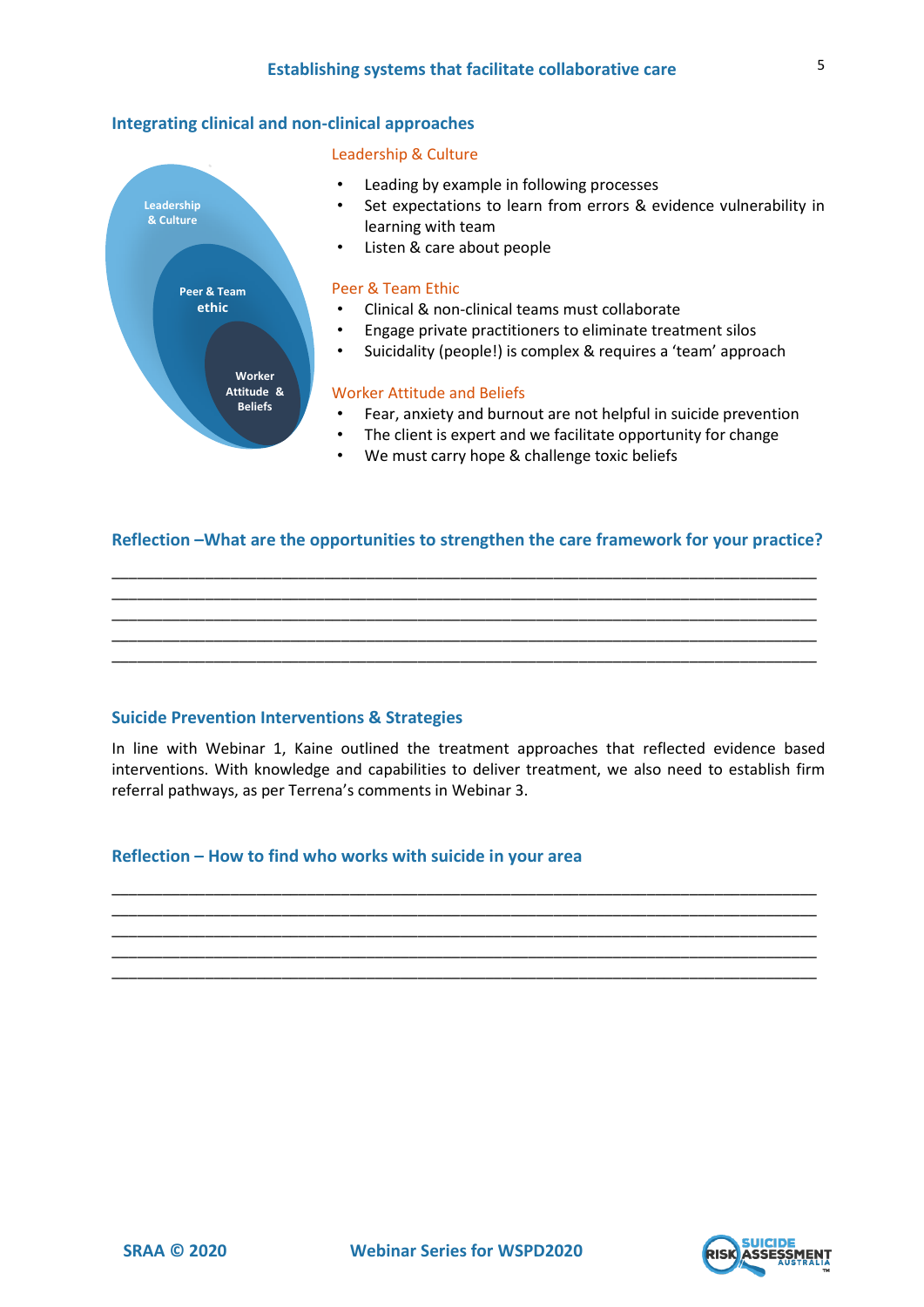## **Integrating clinical and non-clinical approaches**

#### Leadership & Culture



## **Reflection –What are the opportunities to strengthen the care framework for your practice?**

\_\_\_\_\_\_\_\_\_\_\_\_\_\_\_\_\_\_\_\_\_\_\_\_\_\_\_\_\_\_\_\_\_\_\_\_\_\_\_\_\_\_\_\_\_\_\_\_\_\_\_\_\_\_\_\_\_\_\_\_\_\_\_\_\_\_\_\_\_\_\_\_\_\_\_\_\_\_\_\_\_\_\_ \_\_\_\_\_\_\_\_\_\_\_\_\_\_\_\_\_\_\_\_\_\_\_\_\_\_\_\_\_\_\_\_\_\_\_\_\_\_\_\_\_\_\_\_\_\_\_\_\_\_\_\_\_\_\_\_\_\_\_\_\_\_\_\_\_\_\_\_\_\_\_\_\_\_\_\_\_\_\_\_\_\_\_ \_\_\_\_\_\_\_\_\_\_\_\_\_\_\_\_\_\_\_\_\_\_\_\_\_\_\_\_\_\_\_\_\_\_\_\_\_\_\_\_\_\_\_\_\_\_\_\_\_\_\_\_\_\_\_\_\_\_\_\_\_\_\_\_\_\_\_\_\_\_\_\_\_\_\_\_\_\_\_\_\_\_\_ \_\_\_\_\_\_\_\_\_\_\_\_\_\_\_\_\_\_\_\_\_\_\_\_\_\_\_\_\_\_\_\_\_\_\_\_\_\_\_\_\_\_\_\_\_\_\_\_\_\_\_\_\_\_\_\_\_\_\_\_\_\_\_\_\_\_\_\_\_\_\_\_\_\_\_\_\_\_\_\_\_\_\_ \_\_\_\_\_\_\_\_\_\_\_\_\_\_\_\_\_\_\_\_\_\_\_\_\_\_\_\_\_\_\_\_\_\_\_\_\_\_\_\_\_\_\_\_\_\_\_\_\_\_\_\_\_\_\_\_\_\_\_\_\_\_\_\_\_\_\_\_\_\_\_\_\_\_\_\_\_\_\_\_\_\_\_

**Suicide Prevention Interventions & Strategies**

In line with Webinar 1, Kaine outlined the treatment approaches that reflected evidence based interventions. With knowledge and capabilities to deliver treatment, we also need to establish firm referral pathways, as per Terrena's comments in Webinar 3.

\_\_\_\_\_\_\_\_\_\_\_\_\_\_\_\_\_\_\_\_\_\_\_\_\_\_\_\_\_\_\_\_\_\_\_\_\_\_\_\_\_\_\_\_\_\_\_\_\_\_\_\_\_\_\_\_\_\_\_\_\_\_\_\_\_\_\_\_\_\_\_\_\_\_\_\_\_\_\_\_\_\_\_ \_\_\_\_\_\_\_\_\_\_\_\_\_\_\_\_\_\_\_\_\_\_\_\_\_\_\_\_\_\_\_\_\_\_\_\_\_\_\_\_\_\_\_\_\_\_\_\_\_\_\_\_\_\_\_\_\_\_\_\_\_\_\_\_\_\_\_\_\_\_\_\_\_\_\_\_\_\_\_\_\_\_\_ \_\_\_\_\_\_\_\_\_\_\_\_\_\_\_\_\_\_\_\_\_\_\_\_\_\_\_\_\_\_\_\_\_\_\_\_\_\_\_\_\_\_\_\_\_\_\_\_\_\_\_\_\_\_\_\_\_\_\_\_\_\_\_\_\_\_\_\_\_\_\_\_\_\_\_\_\_\_\_\_\_\_\_ \_\_\_\_\_\_\_\_\_\_\_\_\_\_\_\_\_\_\_\_\_\_\_\_\_\_\_\_\_\_\_\_\_\_\_\_\_\_\_\_\_\_\_\_\_\_\_\_\_\_\_\_\_\_\_\_\_\_\_\_\_\_\_\_\_\_\_\_\_\_\_\_\_\_\_\_\_\_\_\_\_\_\_ \_\_\_\_\_\_\_\_\_\_\_\_\_\_\_\_\_\_\_\_\_\_\_\_\_\_\_\_\_\_\_\_\_\_\_\_\_\_\_\_\_\_\_\_\_\_\_\_\_\_\_\_\_\_\_\_\_\_\_\_\_\_\_\_\_\_\_\_\_\_\_\_\_\_\_\_\_\_\_\_\_\_\_

# **Reflection – How to find who works with suicide in your area**



5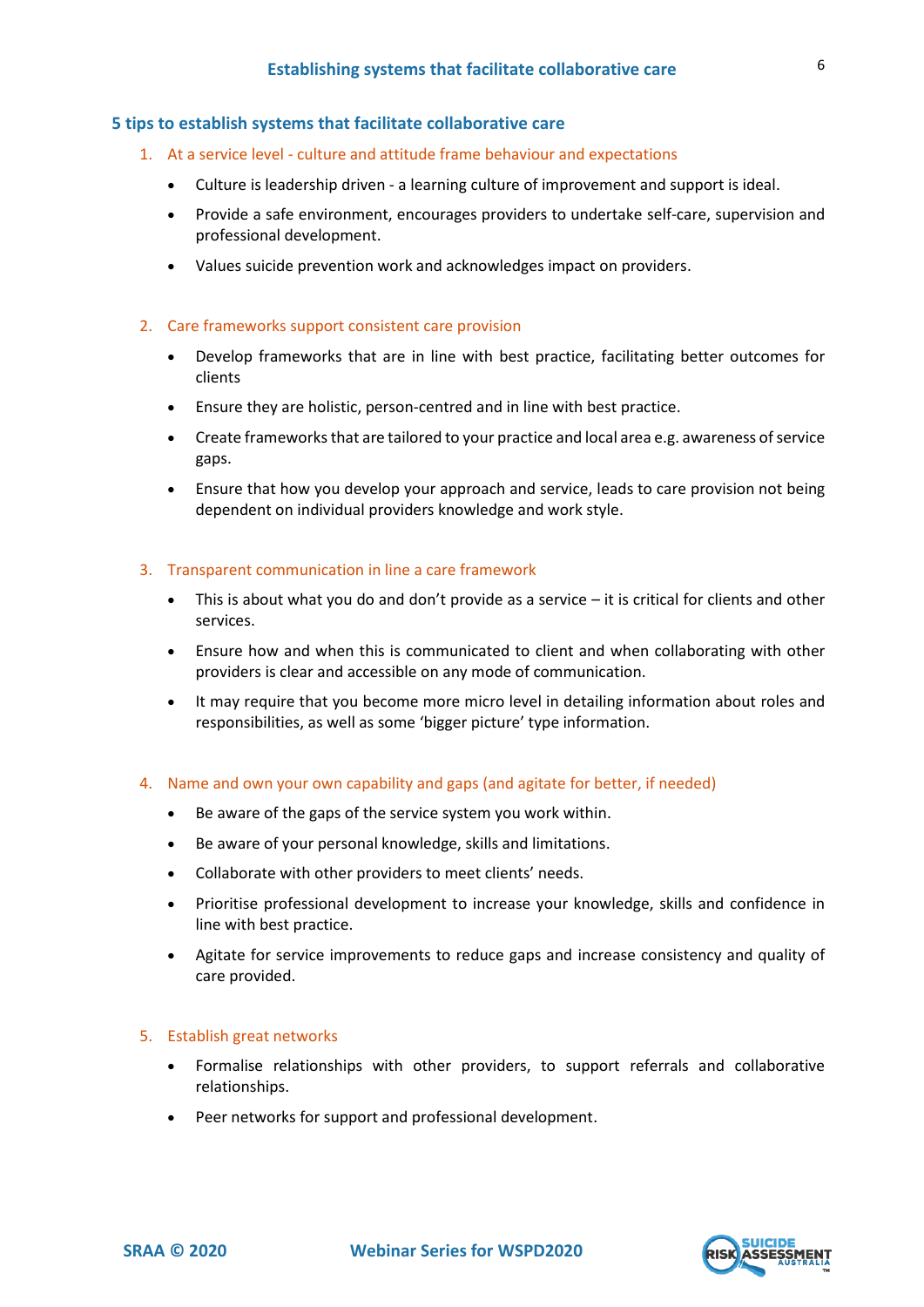# **5 tips to establish systems that facilitate collaborative care**

- 1. At a service level culture and attitude frame behaviour and expectations
	- Culture is leadership driven a learning culture of improvement and support is ideal.
	- Provide a safe environment, encourages providers to undertake self-care, supervision and professional development.
	- Values suicide prevention work and acknowledges impact on providers.

### 2. Care frameworks support consistent care provision

- Develop frameworks that are in line with best practice, facilitating better outcomes for clients
- Ensure they are holistic, person-centred and in line with best practice.
- Create frameworks that are tailored to your practice and local area e.g. awareness of service gaps.
- Ensure that how you develop your approach and service, leads to care provision not being dependent on individual providers knowledge and work style.

## 3. Transparent communication in line a care framework

- This is about what you do and don't provide as a service  $-$  it is critical for clients and other services.
- Ensure how and when this is communicated to client and when collaborating with other providers is clear and accessible on any mode of communication.
- It may require that you become more micro level in detailing information about roles and responsibilities, as well as some 'bigger picture' type information.
- 4. Name and own your own capability and gaps (and agitate for better, if needed)
	- Be aware of the gaps of the service system you work within.
	- Be aware of your personal knowledge, skills and limitations.
	- Collaborate with other providers to meet clients' needs.
	- Prioritise professional development to increase your knowledge, skills and confidence in line with best practice.
	- Agitate for service improvements to reduce gaps and increase consistency and quality of care provided.

#### 5. Establish great networks

- Formalise relationships with other providers, to support referrals and collaborative relationships.
- Peer networks for support and professional development.

6